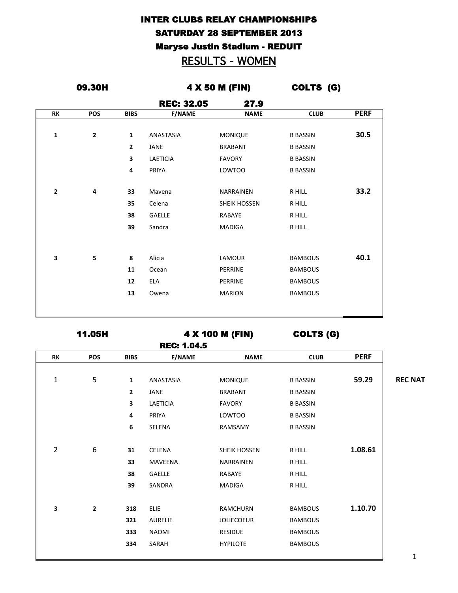# INTER CLUBS RELAY CHAMPIONSHIPS SATURDAY 28 SEPTEMBER 2013 Maryse Justin Stadium - REDUIT

## RESULTS - WOMEN

| 09.30H       |                         |                | 4 X 50 M (FIN)            | COLTS (G)           |                 |             |
|--------------|-------------------------|----------------|---------------------------|---------------------|-----------------|-------------|
|              |                         |                | <b>REC: 32.05</b><br>27.9 |                     |                 |             |
| <b>RK</b>    | <b>POS</b>              | <b>BIBS</b>    | <b>F/NAME</b>             | <b>NAME</b>         | <b>CLUB</b>     | <b>PERF</b> |
| 1            | $\mathbf{2}$            | $\mathbf{1}$   | ANASTASIA                 | <b>MONIQUE</b>      | <b>B BASSIN</b> | 30.5        |
|              |                         | $\overline{2}$ | JANE                      | <b>BRABANT</b>      | <b>B BASSIN</b> |             |
|              |                         | 3              | LAETICIA                  | <b>FAVORY</b>       | <b>B BASSIN</b> |             |
|              |                         | 4              | PRIYA                     | <b>LOWTOO</b>       | <b>B BASSIN</b> |             |
| $\mathbf{2}$ | $\overline{\mathbf{4}}$ | 33             | Mavena                    | NARRAINEN           | R HILL          | 33.2        |
|              |                         | 35             | Celena                    | <b>SHEIK HOSSEN</b> | R HILL          |             |
|              |                         | 38             | <b>GAELLE</b>             | RABAYE              | R HILL          |             |
|              |                         | 39             | Sandra                    | <b>MADIGA</b>       | R HILL          |             |
| 3            | 5                       | 8              | Alicia                    | <b>LAMOUR</b>       | <b>BAMBOUS</b>  | 40.1        |
|              |                         | 11             | Ocean                     | PERRINE             | <b>BAMBOUS</b>  |             |
|              |                         | 12             | ELA                       | PERRINE             | <b>BAMBOUS</b>  |             |
|              |                         | 13             | Owena                     | <b>MARION</b>       | <b>BAMBOUS</b>  |             |

|                | 11.05H           |                |                    | 4 X 100 M (FIN)   | <b>COLTS (G)</b> |             |                |
|----------------|------------------|----------------|--------------------|-------------------|------------------|-------------|----------------|
|                |                  |                | <b>REC: 1.04.5</b> |                   |                  |             |                |
| <b>RK</b>      | <b>POS</b>       | <b>BIBS</b>    | <b>F/NAME</b>      | <b>NAME</b>       | <b>CLUB</b>      | <b>PERF</b> |                |
| $\mathbf{1}$   | 5                | $\mathbf{1}$   | ANASTASIA          | <b>MONIQUE</b>    | <b>B BASSIN</b>  | 59.29       | <b>REC NAT</b> |
|                |                  | $\overline{2}$ | JANE               | <b>BRABANT</b>    | <b>B BASSIN</b>  |             |                |
|                |                  | 3              | LAETICIA           | <b>FAVORY</b>     | <b>B BASSIN</b>  |             |                |
|                |                  | 4              | PRIYA              | LOWTOO            | <b>B BASSIN</b>  |             |                |
|                |                  | 6              | SELENA             | RAMSAMY           | <b>B BASSIN</b>  |             |                |
| $\overline{2}$ | $\boldsymbol{6}$ | 31             | <b>CELENA</b>      | SHEIK HOSSEN      | R HILL           | 1.08.61     |                |
|                |                  | 33             | <b>MAVEENA</b>     | <b>NARRAINEN</b>  | R HILL           |             |                |
|                |                  | 38             | GAELLE             | RABAYE            | R HILL           |             |                |
|                |                  | 39             | SANDRA             | <b>MADIGA</b>     | R HILL           |             |                |
| 3              | 2                | 318            | ELIE               | <b>RAMCHURN</b>   | <b>BAMBOUS</b>   | 1.10.70     |                |
|                |                  | 321            | <b>AURELIE</b>     | <b>JOLIECOEUR</b> | <b>BAMBOUS</b>   |             |                |
|                |                  | 333            | <b>NAOMI</b>       | RESIDUE           | <b>BAMBOUS</b>   |             |                |
|                |                  | 334            | SARAH              | <b>HYPILOTE</b>   | <b>BAMBOUS</b>   |             |                |
|                |                  |                |                    |                   |                  |             | 1              |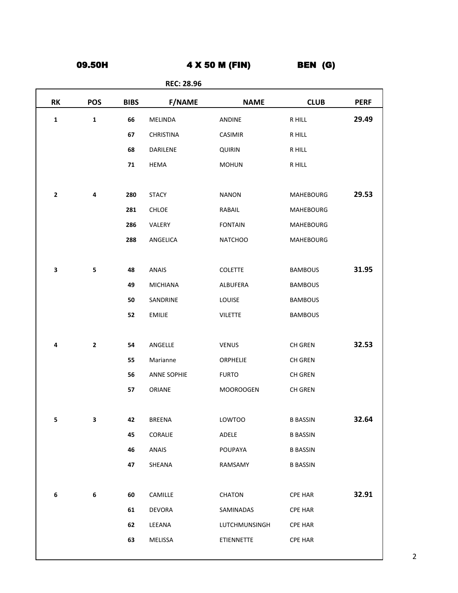BEN (G) 09.50H 4 X 50 M (FIN)

| <b>RK</b>    | <b>POS</b>   | <b>BIBS</b> | <b>F/NAME</b>      | <b>NAME</b>      | <b>CLUB</b>      | <b>PERF</b> |
|--------------|--------------|-------------|--------------------|------------------|------------------|-------------|
| $\mathbf 1$  | $\mathbf{1}$ | 66          | MELINDA            | <b>ANDINE</b>    | R HILL           | 29.49       |
|              |              | 67          | <b>CHRISTINA</b>   | <b>CASIMIR</b>   | R HILL           |             |
|              |              | 68          | DARILENE           | <b>QUIRIN</b>    | R HILL           |             |
|              |              | 71          | <b>HEMA</b>        | <b>MOHUN</b>     | R HILL           |             |
|              |              |             |                    |                  |                  |             |
| $\mathbf{2}$ | 4            | 280         | <b>STACY</b>       | <b>NANON</b>     | <b>MAHEBOURG</b> | 29.53       |
|              |              | 281         | CHLOE              | RABAIL           | <b>MAHEBOURG</b> |             |
|              |              | 286         | VALERY             | <b>FONTAIN</b>   | <b>MAHEBOURG</b> |             |
|              |              | 288         | ANGELICA           | <b>NATCHOO</b>   | <b>MAHEBOURG</b> |             |
|              |              |             |                    |                  |                  |             |
| 3            | 5            | 48          | <b>ANAIS</b>       | <b>COLETTE</b>   | <b>BAMBOUS</b>   | 31.95       |
|              |              | 49          | <b>MICHIANA</b>    | ALBUFERA         | <b>BAMBOUS</b>   |             |
|              |              | 50          | SANDRINE           | LOUISE           | <b>BAMBOUS</b>   |             |
|              |              | 52          | <b>EMILIE</b>      | <b>VILETTE</b>   | <b>BAMBOUS</b>   |             |
|              |              |             |                    |                  |                  |             |
| 4            | $\mathbf{2}$ | 54          | ANGELLE            | VENUS            | CH GREN          | 32.53       |
|              |              | 55          | Marianne           | ORPHELIE         | CH GREN          |             |
|              |              | 56          | <b>ANNE SOPHIE</b> | <b>FURTO</b>     | <b>CH GREN</b>   |             |
|              |              | 57          | ORIANE             | <b>MOOROOGEN</b> | CH GREN          |             |
|              |              |             |                    |                  |                  |             |
| 5            | 3            | 42          | <b>BREENA</b>      | <b>LOWTOO</b>    | <b>B BASSIN</b>  | 32.64       |
|              |              | 45          | CORALIE            | ADELE            | <b>B BASSIN</b>  |             |
|              |              | 46          | ANAIS              | POUPAYA          | <b>B BASSIN</b>  |             |
|              |              | 47          | SHEANA             | RAMSAMY          | <b>B BASSIN</b>  |             |
|              |              |             |                    |                  |                  |             |
| 6            | 6            | 60          | CAMILLE            | CHATON           | <b>CPE HAR</b>   | 32.91       |
|              |              | 61          | DEVORA             | SAMINADAS        | <b>CPE HAR</b>   |             |
|              |              | 62          | LEEANA             | LUTCHMUNSINGH    | <b>CPE HAR</b>   |             |
|              |              | 63          | MELISSA            | ETIENNETTE       | <b>CPE HAR</b>   |             |
|              |              |             |                    |                  |                  |             |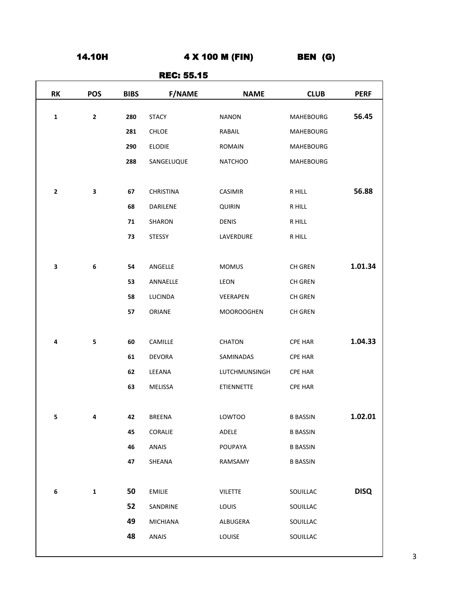14.10H 4 X 100 M (FIN)

BEN (G)

| <b>RK</b>    | <b>POS</b>   | <b>BIBS</b> | <b>F/NAME</b>    | <b>NAME</b>       | <b>CLUB</b>      | <b>PERF</b> |
|--------------|--------------|-------------|------------------|-------------------|------------------|-------------|
| $\mathbf 1$  | $\mathbf{2}$ | 280         | <b>STACY</b>     | <b>NANON</b>      | MAHEBOURG        | 56.45       |
|              |              | 281         | CHLOE            | RABAIL            | <b>MAHEBOURG</b> |             |
|              |              | 290         | <b>ELODIE</b>    | ROMAIN            | MAHEBOURG        |             |
|              |              | 288         | SANGELUQUE       | <b>NATCHOO</b>    | <b>MAHEBOURG</b> |             |
|              |              |             |                  |                   |                  |             |
| $\mathbf{2}$ | 3            | 67          | <b>CHRISTINA</b> | CASIMIR           | R HILL           | 56.88       |
|              |              | 68          | DARILENE         | <b>QUIRIN</b>     | R HILL           |             |
|              |              | 71          | SHARON           | DENIS             | R HILL           |             |
|              |              | 73          | STESSY           | LAVERDURE         | R HILL           |             |
|              |              |             |                  |                   |                  |             |
| 3            | 6            | 54          | ANGELLE          | <b>MOMUS</b>      | CH GREN          | 1.01.34     |
|              |              | 53          | ANNAELLE         | <b>LEON</b>       | CH GREN          |             |
|              |              | 58          | LUCINDA          | VEERAPEN          | CH GREN          |             |
|              |              | 57          | ORIANE           | <b>MOOROOGHEN</b> | CH GREN          |             |
|              |              |             |                  |                   |                  |             |
| 4            | 5            | 60          | CAMILLE          | CHATON            | CPE HAR          | 1.04.33     |
|              |              | 61          | DEVORA           | SAMINADAS         | <b>CPE HAR</b>   |             |
|              |              | 62          | LEEANA           | LUTCHMUNSINGH     | <b>CPE HAR</b>   |             |
|              |              | 63          | MELISSA          | ETIENNETTE        | <b>CPE HAR</b>   |             |
|              |              |             |                  |                   |                  |             |
| 5            | 4            | 42          | BREENA           | LOWTOO            | B BASSIN         | 1.02.01     |
|              |              | 45          | CORALIE          | ADELE             | <b>B BASSIN</b>  |             |
|              |              | 46          | ANAIS            | POUPAYA           | <b>B BASSIN</b>  |             |
|              |              | 47          | SHEANA           | RAMSAMY           | <b>B BASSIN</b>  |             |
|              |              |             |                  |                   |                  |             |
| 6            | $\mathbf 1$  | 50          | EMILIE           | <b>VILETTE</b>    | SOUILLAC         | <b>DISQ</b> |
|              |              | 52          | SANDRINE         | LOUIS             | SOUILLAC         |             |
|              |              | 49          | <b>MICHIANA</b>  | ALBUGERA          | SOUILLAC         |             |
|              |              | 48          | ANAIS            | LOUISE            | SOUILLAC         |             |

### REC: 55.15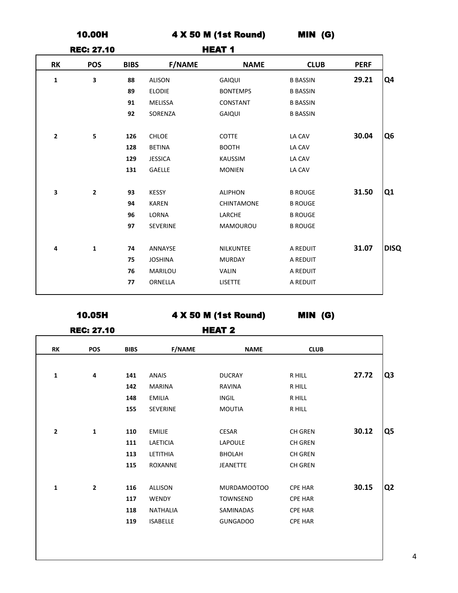|                |             | MIN (G)         | <b>4 X 50 M (1st Round)</b> |                | <b>10.00H</b> |                   |              |
|----------------|-------------|-----------------|-----------------------------|----------------|---------------|-------------------|--------------|
|                |             |                 | <b>HEAT 1</b>               |                |               | <b>REC: 27.10</b> |              |
|                | <b>PERF</b> | <b>CLUB</b>     | <b>NAME</b>                 | <b>F/NAME</b>  | <b>BIBS</b>   | <b>POS</b>        | <b>RK</b>    |
| Q4             | 29.21       | <b>B BASSIN</b> | GAIQUI                      | <b>ALISON</b>  | 88            | 3                 | $\mathbf{1}$ |
|                |             | <b>B BASSIN</b> | <b>BONTEMPS</b>             | <b>ELODIE</b>  | 89            |                   |              |
|                |             | <b>B BASSIN</b> | CONSTANT                    | <b>MELISSA</b> | 91            |                   |              |
|                |             | <b>B BASSIN</b> | <b>GAIQUI</b>               | SORENZA        | 92            |                   |              |
| Q <sub>6</sub> | 30.04       | LA CAV          | COTTE                       | <b>CHLOE</b>   | 126           | 5                 | $\mathbf 2$  |
|                |             | LA CAV          | <b>BOOTH</b>                | <b>BETINA</b>  | 128           |                   |              |
|                |             | LA CAV          | <b>KAUSSIM</b>              | <b>JESSICA</b> | 129           |                   |              |
|                |             | LA CAV          | <b>MONIEN</b>               | GAELLE         | 131           |                   |              |
| Q1             | 31.50       | <b>B ROUGE</b>  | <b>ALIPHON</b>              | <b>KESSY</b>   | 93            | $\mathbf{2}$      | 3            |
|                |             | <b>B ROUGE</b>  | CHINTAMONE                  | <b>KAREN</b>   | 94            |                   |              |
|                |             | <b>B ROUGE</b>  | LARCHE                      | LORNA          | 96            |                   |              |
|                |             | <b>B ROUGE</b>  | MAMOUROU                    | SEVERINE       | 97            |                   |              |
| <b>DISQ</b>    | 31.07       | A REDUIT        | NILKUNTEE                   | ANNAYSE        | 74            | $\mathbf{1}$      | 4            |
|                |             | A REDUIT        | <b>MURDAY</b>               | <b>JOSHINA</b> | 75            |                   |              |
|                |             | A REDUIT        | <b>VALIN</b>                | MARILOU        | 76            |                   |              |
|                |             | A REDUIT        | <b>LISETTE</b>              | ORNELLA        | 77            |                   |              |

10.05H

4 X 50 M (1st Round)

MIN (G)

REC: 27.10

|  | <u>.</u>      |  |  |  |
|--|---------------|--|--|--|
|  | <b>HEAT 2</b> |  |  |  |

|    |       | <b>CLUB</b>    | <b>NAME</b>     | <b>F/NAME</b>   | <b>BIBS</b> | <b>POS</b>   | RK           |
|----|-------|----------------|-----------------|-----------------|-------------|--------------|--------------|
| Q3 | 27.72 | R HILL         | <b>DUCRAY</b>   | <b>ANAIS</b>    | 141         | 4            | $\mathbf{1}$ |
|    |       | R HILL         | <b>RAVINA</b>   | <b>MARINA</b>   | 142         |              |              |
|    |       | R HILL         | <b>INGIL</b>    | <b>EMILIA</b>   | 148         |              |              |
|    |       | R HILL         | <b>MOUTIA</b>   | SEVERINE        | 155         |              |              |
| Q5 | 30.12 | CH GREN        | CESAR           | <b>EMILIE</b>   | 110         | 1            | $\mathbf{2}$ |
|    |       | CH GREN        | LAPOULE         | LAETICIA        | 111         |              |              |
|    |       | CH GREN        | <b>BHOLAH</b>   | LETITHIA        | 113         |              |              |
|    |       | CH GREN        | <b>JEANETTE</b> | ROXANNE         | 115         |              |              |
| Q2 | 30.15 | <b>CPE HAR</b> | MURDAMOOTOO     | ALLISON         | 116         | $\mathbf{2}$ | $\mathbf 1$  |
|    |       | <b>CPE HAR</b> | <b>TOWNSEND</b> | <b>WENDY</b>    | 117         |              |              |
|    |       | <b>CPE HAR</b> | SAMINADAS       | NATHALIA        | 118         |              |              |
|    |       | <b>CPE HAR</b> | <b>GUNGADOO</b> | <b>ISABELLE</b> | 119         |              |              |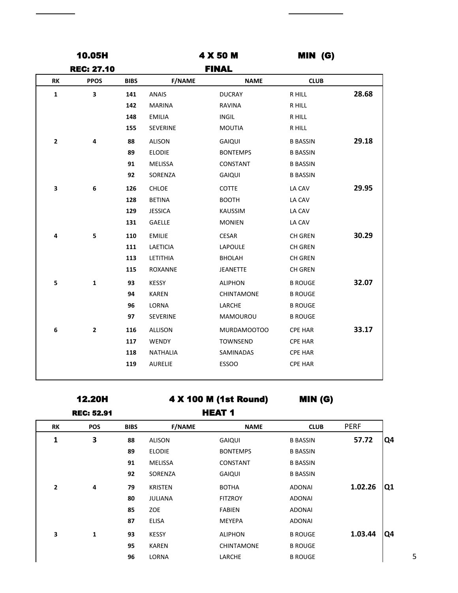|              | 10.05H            |             |                 | 4 X 50 M          | MIN (G)         |       |
|--------------|-------------------|-------------|-----------------|-------------------|-----------------|-------|
|              | <b>REC: 27.10</b> |             |                 | <b>FINAL</b>      |                 |       |
| <b>RK</b>    | <b>PPOS</b>       | <b>BIBS</b> | <b>F/NAME</b>   | <b>NAME</b>       | <b>CLUB</b>     |       |
| $\mathbf{1}$ | 3                 | 141         | ANAIS           | <b>DUCRAY</b>     | R HILL          | 28.68 |
|              |                   | 142         | <b>MARINA</b>   | <b>RAVINA</b>     | R HILL          |       |
|              |                   | 148         | <b>EMILIA</b>   | <b>INGIL</b>      | R HILL          |       |
|              |                   | 155         | <b>SEVERINE</b> | <b>MOUTIA</b>     | R HILL          |       |
| $\mathbf 2$  | 4                 | 88          | <b>ALISON</b>   | GAIQUI            | <b>B BASSIN</b> | 29.18 |
|              |                   | 89          | <b>ELODIE</b>   | <b>BONTEMPS</b>   | <b>B BASSIN</b> |       |
|              |                   | 91          | MELISSA         | CONSTANT          | <b>B BASSIN</b> |       |
|              |                   | 92          | SORENZA         | GAIQUI            | <b>B BASSIN</b> |       |
| 3            | 6                 | 126         | CHLOE           | COTTE             | LA CAV          | 29.95 |
|              |                   | 128         | <b>BETINA</b>   | <b>BOOTH</b>      | LA CAV          |       |
|              |                   | 129         | <b>JESSICA</b>  | <b>KAUSSIM</b>    | LA CAV          |       |
|              |                   | 131         | <b>GAELLE</b>   | <b>MONIEN</b>     | LA CAV          |       |
| 4            | 5                 | 110         | <b>EMILIE</b>   | <b>CESAR</b>      | CH GREN         | 30.29 |
|              |                   | 111         | LAETICIA        | <b>LAPOULE</b>    | <b>CH GREN</b>  |       |
|              |                   | 113         | LETITHIA        | <b>BHOLAH</b>     | <b>CH GREN</b>  |       |
|              |                   | 115         | <b>ROXANNE</b>  | <b>JEANETTE</b>   | <b>CH GREN</b>  |       |
| 5            | $\mathbf 1$       | 93          | <b>KESSY</b>    | <b>ALIPHON</b>    | <b>B ROUGE</b>  | 32.07 |
|              |                   | 94          | <b>KAREN</b>    | <b>CHINTAMONE</b> | <b>B ROUGE</b>  |       |
|              |                   | 96          | LORNA           | LARCHE            | <b>B ROUGE</b>  |       |
|              |                   | 97          | <b>SEVERINE</b> | MAMOUROU          | <b>B ROUGE</b>  |       |
| 6            | $\mathbf{2}$      | 116         | <b>ALLISON</b>  | MURDAMOOTOO       | <b>CPE HAR</b>  | 33.17 |
|              |                   | 117         | <b>WENDY</b>    | <b>TOWNSEND</b>   | <b>CPE HAR</b>  |       |
|              |                   | 118         | <b>NATHALIA</b> | SAMINADAS         | <b>CPE HAR</b>  |       |
|              |                   | 119         | AURELIE         | <b>ESSOO</b>      | <b>CPE HAR</b>  |       |

12.20H

4 X 100 M (1st Round)

MIN (G)

REC: 52.91

HEAT <sup>4</sup>

|                | <b>KEG: 32.91</b> |             |                | ПEAІ 1            |                 |             |    |
|----------------|-------------------|-------------|----------------|-------------------|-----------------|-------------|----|
| <b>RK</b>      | <b>POS</b>        | <b>BIBS</b> | <b>F/NAME</b>  | <b>NAME</b>       | <b>CLUB</b>     | <b>PERF</b> |    |
| 1              | 3                 | 88          | <b>ALISON</b>  | GAIQUI            | <b>B BASSIN</b> | 57.72       | Q4 |
|                |                   | 89          | <b>ELODIE</b>  | <b>BONTEMPS</b>   | <b>B BASSIN</b> |             |    |
|                |                   | 91          | MELISSA        | CONSTANT          | <b>B BASSIN</b> |             |    |
|                |                   | 92          | SORENZA        | GAIQUI            | <b>B BASSIN</b> |             |    |
| $\overline{2}$ | 4                 | 79          | <b>KRISTEN</b> | <b>BOTHA</b>      | <b>ADONAI</b>   | 1.02.26     | Q1 |
|                |                   | 80          | JULIANA        | <b>FITZROY</b>    | <b>ADONAI</b>   |             |    |
|                |                   | 85          | ZOE            | <b>FABIEN</b>     | <b>ADONAI</b>   |             |    |
|                |                   | 87          | <b>ELISA</b>   | MEYEPA            | <b>ADONAI</b>   |             |    |
| 3              | $\mathbf{1}$      | 93          | <b>KESSY</b>   | <b>ALIPHON</b>    | <b>B ROUGE</b>  | 1.03.44     | Q4 |
|                |                   | 95          | KAREN          | <b>CHINTAMONE</b> | <b>B ROUGE</b>  |             |    |
|                |                   | 96          | LORNA          | LARCHE            | <b>B ROUGE</b>  |             |    |
|                |                   |             |                |                   |                 |             |    |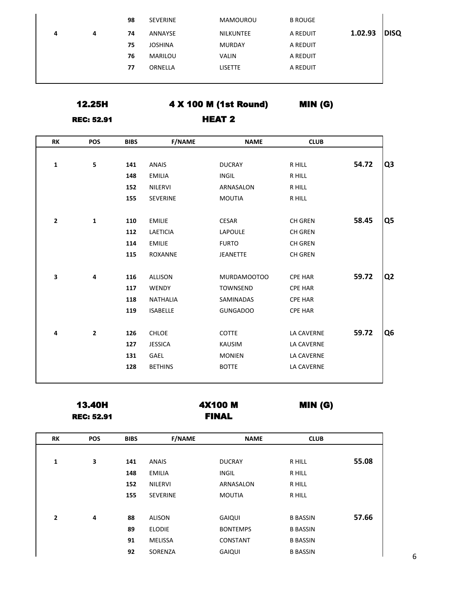|   |   | 98 | <b>SEVERINE</b> | MAMOUROU       | <b>B ROUGE</b> |         |      |
|---|---|----|-----------------|----------------|----------------|---------|------|
| 4 | 4 | 74 | ANNAYSE         | NILKUNTEE      | A REDUIT       | 1.02.93 | DISQ |
|   |   | 75 | <b>JOSHINA</b>  | <b>MURDAY</b>  | A REDUIT       |         |      |
|   |   | 76 | MARILOU         | <b>VALIN</b>   | A REDUIT       |         |      |
|   |   | 77 | ORNELLA         | <b>LISETTE</b> | A REDUIT       |         |      |
|   |   |    |                 |                |                |         |      |

12.25H

## 4 X 100 M (1st Round)

REC: 52.91

# HEAT 2

MIN (G)

| <b>RK</b>    | <b>POS</b>     | <b>BIBS</b> | <b>F/NAME</b>   | <b>NAME</b>     | <b>CLUB</b>    |       |                |
|--------------|----------------|-------------|-----------------|-----------------|----------------|-------|----------------|
|              |                |             |                 |                 |                |       |                |
| 1            | 5              | 141         | <b>ANAIS</b>    | <b>DUCRAY</b>   | R HILL         | 54.72 | Q <sub>3</sub> |
|              |                | 148         | <b>EMILIA</b>   | <b>INGIL</b>    | R HILL         |       |                |
|              |                | 152         | NILERVI         | ARNASALON       | R HILL         |       |                |
|              |                | 155         | SEVERINE        | <b>MOUTIA</b>   | R HILL         |       |                |
| $\mathbf{2}$ | $\mathbf{1}$   | 110         | <b>EMILIE</b>   | <b>CESAR</b>    | <b>CH GREN</b> | 58.45 | Q5             |
|              |                | 112         | <b>LAETICIA</b> | <b>LAPOULE</b>  | <b>CH GREN</b> |       |                |
|              |                | 114         | <b>EMILIE</b>   | <b>FURTO</b>    | <b>CH GREN</b> |       |                |
|              |                | 115         | <b>ROXANNE</b>  | <b>JEANETTE</b> | CH GREN        |       |                |
| 3            | 4              | 116         | <b>ALLISON</b>  | MURDAMOOTOO     | <b>CPE HAR</b> | 59.72 | Q <sub>2</sub> |
|              |                | 117         | WENDY           | <b>TOWNSEND</b> | <b>CPE HAR</b> |       |                |
|              |                | 118         | <b>NATHALIA</b> | SAMINADAS       | <b>CPE HAR</b> |       |                |
|              |                | 119         | <b>ISABELLE</b> | <b>GUNGADOO</b> | <b>CPE HAR</b> |       |                |
| 4            | $\overline{2}$ | 126         | <b>CHLOE</b>    | <b>COTTE</b>    | LA CAVERNE     | 59.72 | Q <sub>6</sub> |
|              |                | 127         | <b>JESSICA</b>  | KAUSIM          | LA CAVERNE     |       |                |
|              |                | 131         | GAEL            | <b>MONIEN</b>   | LA CAVERNE     |       |                |
|              |                | 128         | <b>BETHINS</b>  | <b>BOTTE</b>    | LA CAVERNE     |       |                |
|              |                |             |                 |                 |                |       |                |

REC: 52.91

13.40H 4X100 M FINAL

MIN (G)

| RK             | <b>POS</b> | <b>BIBS</b> | <b>F/NAME</b>   | <b>NAME</b>     | <b>CLUB</b>     |       |
|----------------|------------|-------------|-----------------|-----------------|-----------------|-------|
|                |            |             |                 |                 |                 |       |
| 1              | 3          | 141         | <b>ANAIS</b>    | <b>DUCRAY</b>   | R HILL          | 55.08 |
|                |            | 148         | <b>EMILIA</b>   | <b>INGIL</b>    | R HILL          |       |
|                |            | 152         | <b>NILERVI</b>  | ARNASALON       | R HILL          |       |
|                |            | 155         | <b>SEVERINE</b> | <b>MOUTIA</b>   | R HILL          |       |
|                |            |             |                 |                 |                 |       |
| $\overline{2}$ | 4          | 88          | <b>ALISON</b>   | <b>GAIQUI</b>   | <b>B BASSIN</b> | 57.66 |
|                |            | 89          | <b>ELODIE</b>   | <b>BONTEMPS</b> | <b>B BASSIN</b> |       |
|                |            | 91          | <b>MELISSA</b>  | <b>CONSTANT</b> | <b>B BASSIN</b> |       |
|                |            | 92          | SORENZA         | GAIQUI          | <b>B BASSIN</b> |       |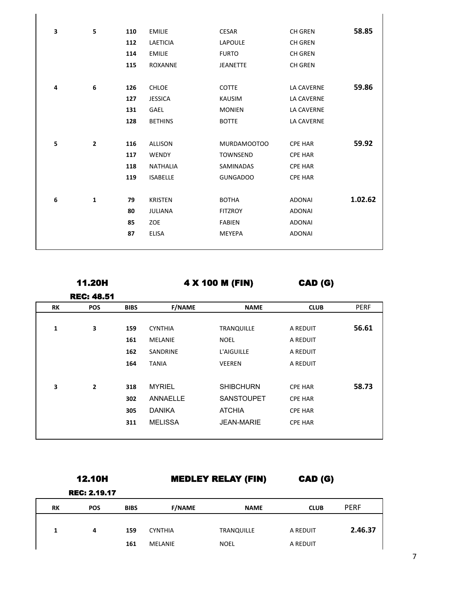| 3 | 5              | 110 | <b>EMILIE</b>   | CESAR           | <b>CH GREN</b>    | 58.85   |
|---|----------------|-----|-----------------|-----------------|-------------------|---------|
|   |                | 112 | <b>LAETICIA</b> | LAPOULE         | CH GREN           |         |
|   |                | 114 | <b>EMILIE</b>   | <b>FURTO</b>    | CH GREN           |         |
|   |                | 115 | <b>ROXANNE</b>  | <b>JEANETTE</b> | <b>CH GREN</b>    |         |
|   |                |     |                 |                 |                   |         |
| 4 | 6              | 126 | <b>CHLOE</b>    | COTTE           | <b>LA CAVERNE</b> | 59.86   |
|   |                | 127 | <b>JESSICA</b>  | <b>KAUSIM</b>   | <b>LA CAVERNE</b> |         |
|   |                | 131 | GAEL            | <b>MONIEN</b>   | <b>LA CAVERNE</b> |         |
|   |                | 128 | <b>BETHINS</b>  | <b>BOTTE</b>    | <b>LA CAVERNE</b> |         |
|   |                |     |                 |                 |                   |         |
| 5 | $\overline{2}$ | 116 | ALLISON         | MURDAMOOTOO     | <b>CPE HAR</b>    | 59.92   |
|   |                | 117 | <b>WENDY</b>    | <b>TOWNSEND</b> | <b>CPE HAR</b>    |         |
|   |                | 118 | <b>NATHALIA</b> | SAMINADAS       | <b>CPE HAR</b>    |         |
|   |                | 119 | <b>ISABELLE</b> | <b>GUNGADOO</b> | <b>CPE HAR</b>    |         |
|   |                |     |                 |                 |                   |         |
| 6 | $\mathbf 1$    | 79  | <b>KRISTEN</b>  | <b>BOTHA</b>    | <b>ADONAI</b>     | 1.02.62 |
|   |                | 80  | <b>JULIANA</b>  | <b>FITZROY</b>  | <b>ADONAI</b>     |         |
|   |                | 85  | ZOE             | <b>FABIEN</b>   | <b>ADONAI</b>     |         |
|   |                | 87  | <b>ELISA</b>    | <b>MEYEPA</b>   | <b>ADONAI</b>     |         |
|   |                |     |                 |                 |                   |         |

11.20H

CAD (G) 4 X 100 M (FIN)

|    | <b>REC: 48.51</b> |             |                |                   |                |             |
|----|-------------------|-------------|----------------|-------------------|----------------|-------------|
| RK | <b>POS</b>        | <b>BIBS</b> | <b>F/NAME</b>  | <b>NAME</b>       | <b>CLUB</b>    | <b>PERF</b> |
|    |                   |             |                |                   |                |             |
| 1  | 3                 | 159         | <b>CYNTHIA</b> | <b>TRANQUILLE</b> | A REDUIT       | 56.61       |
|    |                   | 161         | <b>MELANIE</b> | <b>NOEL</b>       | A REDUIT       |             |
|    |                   | 162         | SANDRINE       | L'AIGUILLE        | A REDUIT       |             |
|    |                   | 164         | <b>TANIA</b>   | <b>VEEREN</b>     | A REDUIT       |             |
|    |                   |             |                |                   |                |             |
| 3  | $\overline{2}$    | 318         | <b>MYRIEL</b>  | <b>SHIBCHURN</b>  | <b>CPE HAR</b> | 58.73       |
|    |                   | 302         | ANNAELLE       | <b>SANSTOUPET</b> | <b>CPE HAR</b> |             |
|    |                   | 305         | <b>DANIKA</b>  | <b>ATCHIA</b>     | <b>CPE HAR</b> |             |
|    |                   | 311         | <b>MELISSA</b> | <b>JEAN-MARIE</b> | <b>CPE HAR</b> |             |
|    |                   |             |                |                   |                |             |

CAD (G) MEDLEY RELAY (FIN) 12.10H

REC: 2.19.17

| RK | <b>POS</b> | <b>BIBS</b> | <b>F/NAME</b>  | <b>NAME</b>       | <b>CLUB</b> | <b>PERF</b> |
|----|------------|-------------|----------------|-------------------|-------------|-------------|
| 1  | 4          | 159         | <b>CYNTHIA</b> | <b>TRANQUILLE</b> | A REDUIT    | 2.46.37     |
|    |            | 161         | MELANIE        | <b>NOEL</b>       | A REDUIT    |             |